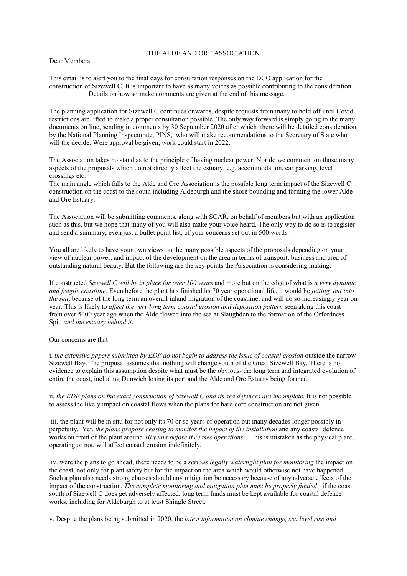## THE ALDE AND ORE ASSOCIATION

## Dear Members

This email is to alert you to the final days for consultation responses on the DCO application for the construction of Sizewell C. It is important to have as many voices as possible contributing to the consideration Details on how so make comments are given at the end of this message.

The planning application for Sizewell C continues onwards, despite requests from many to hold off until Covid restrictions are lifted to make a proper consultation possible. The only way forward is simply going to the many documents on line, sending in comments by 30 September 2020 after which there will be detailed consideration by the National Planning Inspectorate, PINS, who will make recommendations to the Secretary of State who will the decide. Were approval be given, work could start in 2022.

The Association takes no stand as to the principle of having nuclear power. Nor do we comment on those many aspects of the proposals which do not directly affect the estuary: e.g. accommodation, car parking, level crossings etc.

The main angle which falls to the Alde and Ore Association is the possible long term impact of the Sizewell C construction on the coast to the south including Aldeburgh and the shore bounding and forming the lower Alde and Ore Estuary.

The Association will be submitting comments, along with SCAR, on behalf of members but with an application such as this, but we hope that many of you will also make your voice heard. The only way to do so is to register and send a summary, even just a bullet point list, of your concerns set out in 500 words.

You all are likely to have your own views on the many possible aspects of the proposals depending on your view of nuclear power, and impact of the development on the area in terms of transport, business and area of outstanding natural beauty. But the following are the key points the Association is considering making:

If constructed Sizewell C will be in place for over  $100$  years and more but on the edge of what is a very dynamic and fragile coastline. Even before the plant has finished its 70 year operational life, it would be jutting out into the sea, because of the long term an overall inland migration of the coastline, and will do so increasingly year on year. This is likely to affect the very long term coastal erosion and deposition pattern seen along this coast from over 5000 year ago when the Alde flowed into the sea at Slaughden to the formation of the Orfordness Spit and the estuary behind it.

## Our concerns are that

i. the extensive papers submitted by EDF do not begin to address the issue of coastal erosion outside the narrow Sizewell Bay. The proposal assumes that nothing will change south of the Great Sizewell Bay. There is no evidence to explain this assumption despite what must be the obvious- the long term and integrated evolution of entire the coast, including Dunwich losing its port and the Alde and Ore Estuary being formed.

ii. the EDF plans on the exact construction of Sizewell C and its sea defences are incomplete. It is not possible to assess the likely impact on coastal flows when the plans for hard core construction are not given.

 iii. the plant will be in situ for not only its 70 or so years of operation but many decades longer possibly in perpetuity. Yet, the plans propose ceasing to monitor the impact of the installation and any coastal defence works on front of the plant around 10 years before it ceases operations. This is mistaken as the physical plant, operating or not, will affect coastal erosion indefinitely.

 iv. were the plans to go ahead, there needs to be a serious legally watertight plan for monitoring the impact on the coast, not only for plant safety but for the impact on the area which would otherwise not have happened. Such a plan also needs strong clauses should any mitigation be necessary because of any adverse effects of the impact of the construction. The complete monitoring and mitigation plan must be properly funded: if the coast south of Sizewell C does get adversely affected, long term funds must be kept available for coastal defence works, including for Aldeburgh to at least Shingle Street.

v. Despite the plans being submitted in 2020, the latest information on climate change, sea level rise and